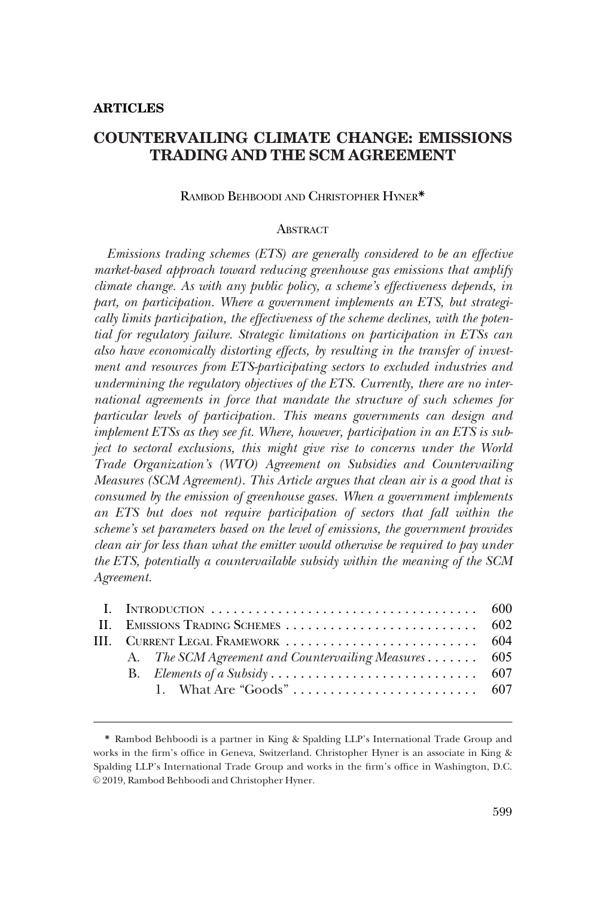# **COUNTERVAILING CLIMATE CHANGE: EMISSIONS TRADING AND THE SCM AGREEMENT**

# RAMBOD BEHBOODI AND CHRISTOPHER HYNER\*

#### **ABSTRACT**

*Emissions trading schemes (ETS) are generally considered to be an effective market-based approach toward reducing greenhouse gas emissions that amplify climate change. As with any public policy, a scheme's effectiveness depends, in part, on participation. Where a government implements an ETS, but strategically limits participation, the effectiveness of the scheme declines, with the potential for regulatory failure. Strategic limitations on participation in ETSs can also have economically distorting effects, by resulting in the transfer of investment and resources from ETS-participating sectors to excluded industries and undermining the regulatory objectives of the ETS. Currently, there are no international agreements in force that mandate the structure of such schemes for particular levels of participation. This means governments can design and implement ETSs as they see fit. Where, however, participation in an ETS is subject to sectoral exclusions, this might give rise to concerns under the World Trade Organization's (WTO) Agreement on Subsidies and Countervailing Measures (SCM Agreement). This Article argues that clean air is a good that is consumed by the emission of greenhouse gases. When a government implements an ETS but does not require participation of sectors that fall within the scheme's set parameters based on the level of emissions, the government provides clean air for less than what the emitter would otherwise be required to pay under the ETS, potentially a countervailable subsidy within the meaning of the SCM Agreement.* 

| III. CURRENT LEGAL FRAMEWORK  604 |                                                      |  |
|-----------------------------------|------------------------------------------------------|--|
|                                   | A. The SCM Agreement and Countervailing Measures 605 |  |
|                                   |                                                      |  |
|                                   |                                                      |  |
|                                   |                                                      |  |

<sup>\*</sup> Rambod Behboodi is a partner in King & Spalding LLP's International Trade Group and works in the firm's office in Geneva, Switzerland. Christopher Hyner is an associate in King & Spalding LLP's International Trade Group and works in the firm's office in Washington, D.C. © 2019, Rambod Behboodi and Christopher Hyner.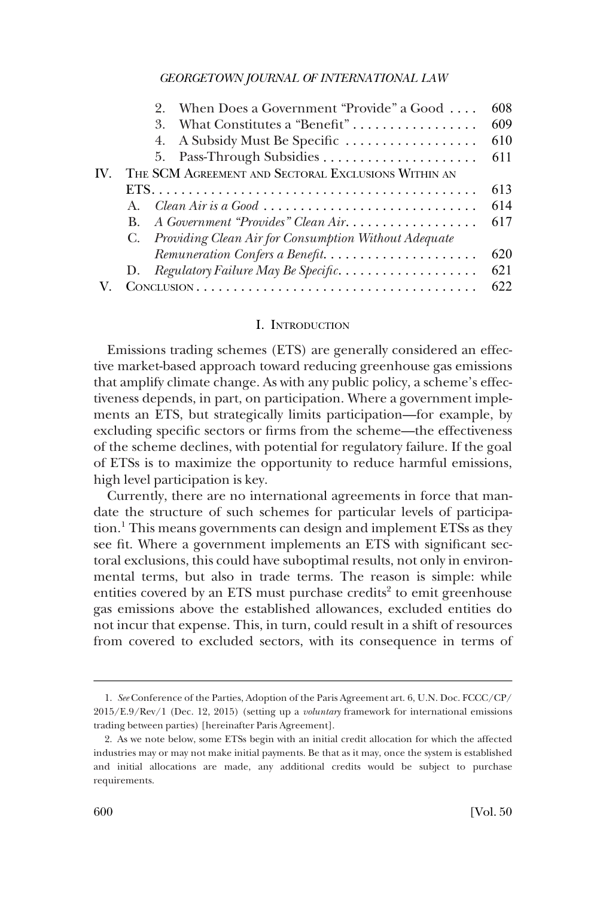<span id="page-1-0"></span>

|                   | When Does a Government "Provide" a Good<br>9.           | 608 |  |
|-------------------|---------------------------------------------------------|-----|--|
|                   | What Constitutes a "Benefit"<br>3                       | 609 |  |
|                   | 4. A Subsidy Must Be Specific                           | 610 |  |
|                   |                                                         | 611 |  |
| $\mathbf{IV}_{-}$ | THE SCM AGREEMENT AND SECTORAL EXCLUSIONS WITHIN AN     |     |  |
|                   |                                                         | 613 |  |
|                   | Clean Air is a Good<br>$A_{-}$                          | 614 |  |
|                   | A Government "Provides" Clean Air<br>B.                 | 617 |  |
|                   | C. Providing Clean Air for Consumption Without Adequate |     |  |
|                   | Remuneration Confers a Benefit                          | 620 |  |
|                   | Regulatory Failure May Be Specific<br>D.                | 621 |  |
|                   |                                                         | 622 |  |

#### I. INTRODUCTION

Emissions trading schemes (ETS) are generally considered an effective market-based approach toward reducing greenhouse gas emissions that amplify climate change. As with any public policy, a scheme's effectiveness depends, in part, on participation. Where a government implements an ETS, but strategically limits participation—for example, by excluding specific sectors or firms from the scheme—the effectiveness of the scheme declines, with potential for regulatory failure. If the goal of ETSs is to maximize the opportunity to reduce harmful emissions, high level participation is key.

Currently, there are no international agreements in force that mandate the structure of such schemes for particular levels of participation.<sup>1</sup> This means governments can design and implement ETSs as they see fit. Where a government implements an ETS with significant sectoral exclusions, this could have suboptimal results, not only in environmental terms, but also in trade terms. The reason is simple: while entities covered by an ETS must purchase credits<sup>2</sup> to emit greenhouse gas emissions above the established allowances, excluded entities do not incur that expense. This, in turn, could result in a shift of resources from covered to excluded sectors, with its consequence in terms of

<sup>1.</sup> *See* Conference of the Parties, Adoption of the Paris Agreement art. 6, U.N. Doc. FCCC/CP/ 2015/E.9/Rev/1 (Dec. 12, 2015) (setting up a *voluntary* framework for international emissions trading between parties) [hereinafter Paris Agreement].

<sup>2.</sup> As we note below, some ETSs begin with an initial credit allocation for which the affected industries may or may not make initial payments. Be that as it may, once the system is established and initial allocations are made, any additional credits would be subject to purchase requirements.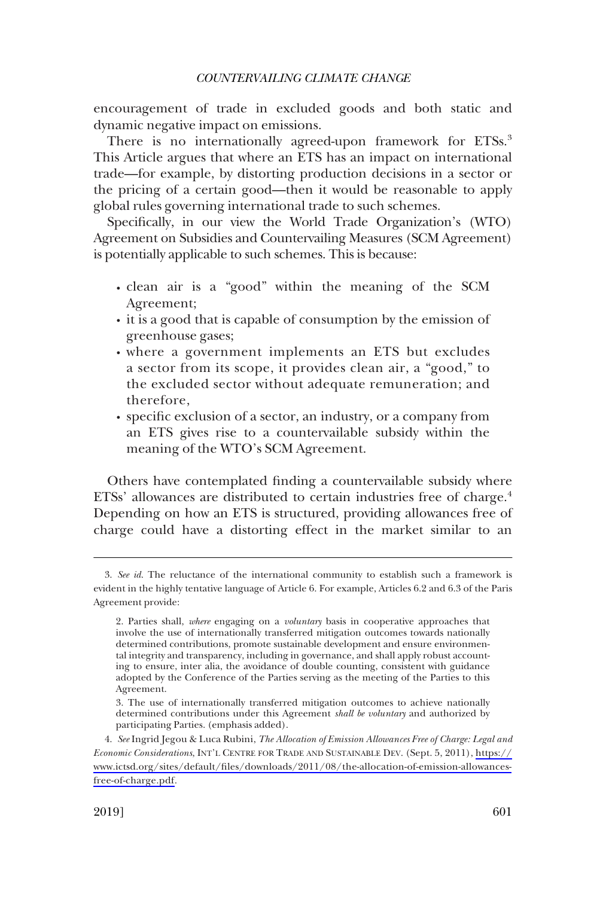encouragement of trade in excluded goods and both static and dynamic negative impact on emissions.

There is no internationally agreed-upon framework for ETSs.<sup>3</sup> This Article argues that where an ETS has an impact on international trade—for example, by distorting production decisions in a sector or the pricing of a certain good—then it would be reasonable to apply global rules governing international trade to such schemes.

Specifically, in our view the World Trade Organization's (WTO) Agreement on Subsidies and Countervailing Measures (SCM Agreement) is potentially applicable to such schemes. This is because:

- � clean air is a "good" within the meaning of the SCM Agreement;
- it is a good that is capable of consumption by the emission of greenhouse gases;
- � where a government implements an ETS but excludes a sector from its scope, it provides clean air, a "good," to the excluded sector without adequate remuneration; and therefore,
- � specific exclusion of a sector, an industry, or a company from an ETS gives rise to a countervailable subsidy within the meaning of the WTO's SCM Agreement.

Others have contemplated finding a countervailable subsidy where ETSs' allowances are distributed to certain industries free of charge.<sup>4</sup> Depending on how an ETS is structured, providing allowances free of charge could have a distorting effect in the market similar to an

<sup>3.</sup> *See id*. The reluctance of the international community to establish such a framework is evident in the highly tentative language of Article 6. For example, Articles 6.2 and 6.3 of the Paris Agreement provide:

<sup>2.</sup> Parties shall, *where* engaging on a *voluntary* basis in cooperative approaches that involve the use of internationally transferred mitigation outcomes towards nationally determined contributions, promote sustainable development and ensure environmental integrity and transparency, including in governance, and shall apply robust accounting to ensure, inter alia, the avoidance of double counting, consistent with guidance adopted by the Conference of the Parties serving as the meeting of the Parties to this Agreement.

<sup>3.</sup> The use of internationally transferred mitigation outcomes to achieve nationally determined contributions under this Agreement *shall be voluntary* and authorized by participating Parties. (emphasis added).

*See* Ingrid Jegou & Luca Rubini, *The Allocation of Emission Allowances Free of Charge: Legal and*  4. *Economic Considerations*, INT'L CENTRE FOR TRADE AND SUSTAINABLE DEV. (Sept. 5, 2011), [https://](https://www.ictsd.org/sites/default/files/downloads/2011/08/the-allocation-of-emission-allowances-free-of-charge.pdf) [www.ictsd.org/sites/default/files/downloads/2011/08/the-allocation-of-emission-allowances](https://www.ictsd.org/sites/default/files/downloads/2011/08/the-allocation-of-emission-allowances-free-of-charge.pdf)[free-of-charge.pdf](https://www.ictsd.org/sites/default/files/downloads/2011/08/the-allocation-of-emission-allowances-free-of-charge.pdf).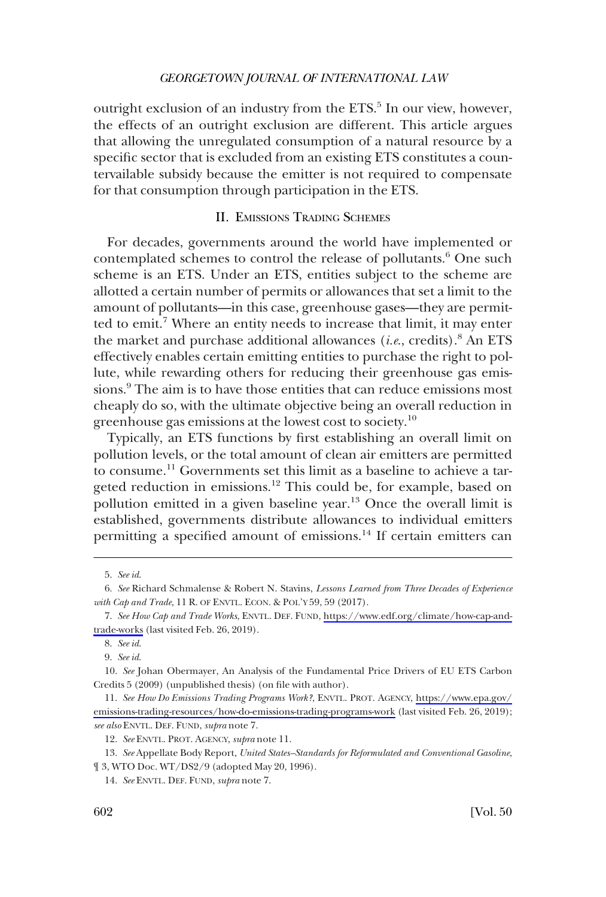<span id="page-3-0"></span>outright exclusion of an industry from the ETS.<sup>5</sup> In our view, however, the effects of an outright exclusion are different. This article argues that allowing the unregulated consumption of a natural resource by a specific sector that is excluded from an existing ETS constitutes a countervailable subsidy because the emitter is not required to compensate for that consumption through participation in the ETS.

# II. EMISSIONS TRADING SCHEMES

For decades, governments around the world have implemented or contemplated schemes to control the release of pollutants.<sup>6</sup> One such scheme is an ETS. Under an ETS, entities subject to the scheme are allotted a certain number of permits or allowances that set a limit to the amount of pollutants—in this case, greenhouse gases—they are permitted to emit.<sup>7</sup> Where an entity needs to increase that limit, it may enter the market and purchase additional allowances (*i.e*., credits).8 An ETS effectively enables certain emitting entities to purchase the right to pollute, while rewarding others for reducing their greenhouse gas emissions.9 The aim is to have those entities that can reduce emissions most cheaply do so, with the ultimate objective being an overall reduction in greenhouse gas emissions at the lowest cost to society.10

Typically, an ETS functions by first establishing an overall limit on pollution levels, or the total amount of clean air emitters are permitted to consume.<sup>11</sup> Governments set this limit as a baseline to achieve a targeted reduction in emissions.<sup>12</sup> This could be, for example, based on pollution emitted in a given baseline year.<sup>13</sup> Once the overall limit is established, governments distribute allowances to individual emitters permitting a specified amount of emissions.<sup>14</sup> If certain emitters can

<sup>5.</sup> *See id*.

<sup>6.</sup> *See* Richard Schmalense & Robert N. Stavins, *Lessons Learned from Three Decades of Experience with Cap and Trade*, 11 R. OF ENVTL. ECON. & POL'Y 59, 59 (2017).

*See How Cap and Trade Works*, ENVTL. DEF. FUND, [https://www.edf.org/climate/how-cap-and-](https://www.edf.org/climate/how-cap-and-trade-works)7. [trade-works](https://www.edf.org/climate/how-cap-and-trade-works) (last visited Feb. 26, 2019).

<sup>8.</sup> *See id*.

<sup>9.</sup> *See id*.

<sup>10.</sup> *See* Johan Obermayer, An Analysis of the Fundamental Price Drivers of EU ETS Carbon Credits 5 (2009) (unpublished thesis) (on file with author).

*See How Do Emissions Trading Programs Work?*, ENVTL. PROT. AGENCY, [https://www.epa.gov/](https://www.epa.gov/emissions-trading-resources/how-do-emissions-trading-programs-work) 11. [emissions-trading-resources/how-do-emissions-trading-programs-work](https://www.epa.gov/emissions-trading-resources/how-do-emissions-trading-programs-work) (last visited Feb. 26, 2019); *see also* ENVTL. DEF. FUND, *supra* note 7.

<sup>12.</sup> *See* ENVTL. PROT. AGENCY, *supra* note 11.

<sup>13.</sup> *See* Appellate Body Report, *United States–Standards for Reformulated and Conventional Gasoline*, ¶ 3, WTO Doc. WT/DS2/9 (adopted May 20, 1996).

<sup>14.</sup> *See* ENVTL. DEF. FUND, *supra* note 7.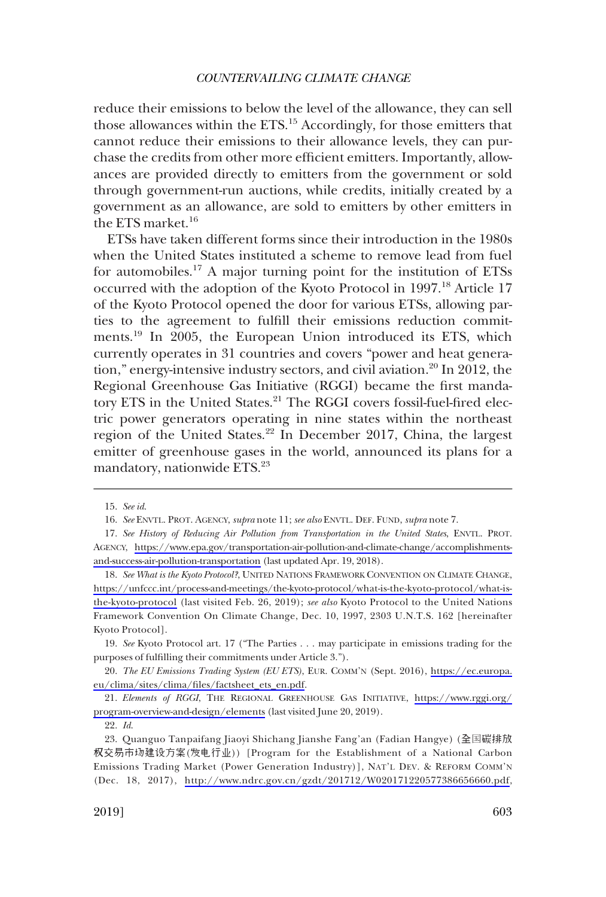reduce their emissions to below the level of the allowance, they can sell those allowances within the ETS.15 Accordingly, for those emitters that cannot reduce their emissions to their allowance levels, they can purchase the credits from other more efficient emitters. Importantly, allowances are provided directly to emitters from the government or sold through government-run auctions, while credits, initially created by a government as an allowance, are sold to emitters by other emitters in the ETS market.16

ETSs have taken different forms since their introduction in the 1980s when the United States instituted a scheme to remove lead from fuel for automobiles.<sup>17</sup> A major turning point for the institution of ETSs occurred with the adoption of the Kyoto Protocol in 1997.<sup>18</sup> Article 17 of the Kyoto Protocol opened the door for various ETSs, allowing parties to the agreement to fulfill their emissions reduction commitments.<sup>19</sup> In 2005, the European Union introduced its ETS, which currently operates in 31 countries and covers "power and heat generation," energy-intensive industry sectors, and civil aviation.<sup>20</sup> In 2012, the Regional Greenhouse Gas Initiative (RGGI) became the first mandatory ETS in the United States.<sup>21</sup> The RGGI covers fossil-fuel-fired electric power generators operating in nine states within the northeast region of the United States.<sup>22</sup> In December 2017, China, the largest emitter of greenhouse gases in the world, announced its plans for a mandatory, nationwide ETS.23

<sup>15.</sup> *See id*.

<sup>16.</sup> *See* ENVTL. PROT. AGENCY, *supra* note 11; *see also* ENVTL. DEF. FUND, *supra* note 7.

*See History of Reducing Air Pollution from Transportation in the United States*, ENVTL. PROT. 17. AGENCY, [https://www.epa.gov/transportation-air-pollution-and-climate-change/accomplishments](https://www.epa.gov/transportation-air-pollution-and-climate-change/accomplishments-and-success-air-pollution-transportation)[and-success-air-pollution-transportation](https://www.epa.gov/transportation-air-pollution-and-climate-change/accomplishments-and-success-air-pollution-transportation) (last updated Apr. 19, 2018).

<sup>18.</sup> See What is the Kyoto Protocol?, UNITED NATIONS FRAMEWORK CONVENTION ON CLIMATE CHANGE, [https://unfccc.int/process-and-meetings/the-kyoto-protocol/what-is-the-kyoto-protocol/what-is](https://unfccc.int/process-and-meetings/the-kyoto-protocol/what-is-the-kyoto-protocol/what-is-the-kyoto-protocol)[the-kyoto-protocol](https://unfccc.int/process-and-meetings/the-kyoto-protocol/what-is-the-kyoto-protocol/what-is-the-kyoto-protocol) (last visited Feb. 26, 2019); *see also* Kyoto Protocol to the United Nations Framework Convention On Climate Change, Dec. 10, 1997, 2303 U.N.T.S. 162 [hereinafter Kyoto Protocol].

<sup>19.</sup> *See* Kyoto Protocol art. 17 ("The Parties . . . may participate in emissions trading for the purposes of fulfilling their commitments under Article 3.").

*The EU Emissions Trading System (EU ETS)*, EUR. COMM'N (Sept. 2016), [https://ec.europa.](https://ec.europa.eu/clima/sites/clima/files/factsheet_ets_en.pdf) 20. [eu/clima/sites/clima/files/factsheet\\_ets\\_en.pdf](https://ec.europa.eu/clima/sites/clima/files/factsheet_ets_en.pdf).

*Elements of RGGI*, THE REGIONAL GREENHOUSE GAS INITIATIVE, [https://www.rggi.org/](https://www.rggi.org/program-overview-and-design/elements)  21. [program-overview-and-design/elements](https://www.rggi.org/program-overview-and-design/elements) (last visited June 20, 2019).

<sup>22.</sup> *Id*.

Quanguo Tanpaifang Jiaoyi Shichang Jianshe Fang'an (Fadian Hangye) (全国碳排放 23. 权交易市场建设方案(发电行业)) [Program for the Establishment of a National Carbon Emissions Trading Market (Power Generation Industry)], NAT'L DEV. & REFORM COMM'N (Dec. 18, 2017), [http://www.ndrc.gov.cn/gzdt/201712/W020171220577386656660.pdf,](http://www.ndrc.gov.cn/gzdt/201712/W020171220577386656660.pdf)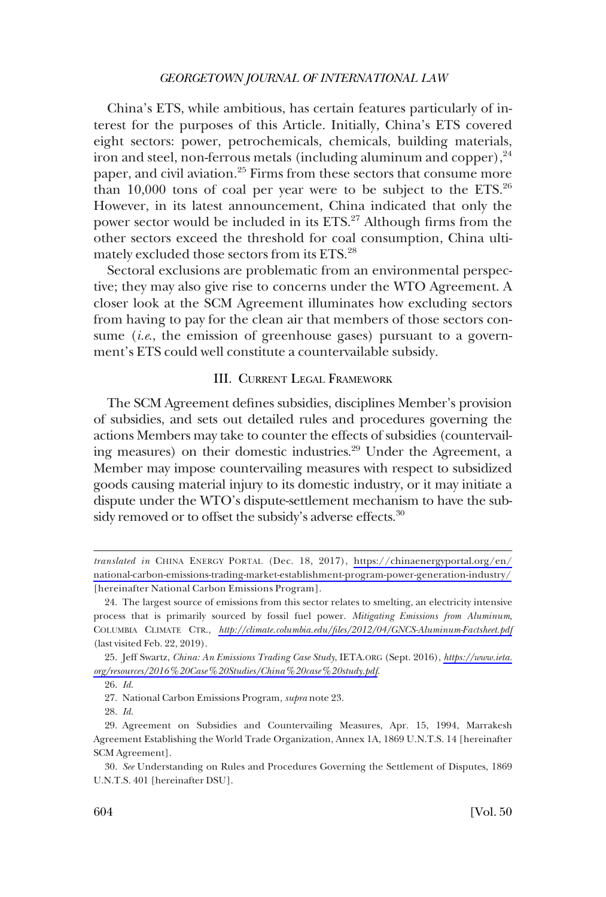<span id="page-5-0"></span>China's ETS, while ambitious, has certain features particularly of interest for the purposes of this Article. Initially, China's ETS covered eight sectors: power, petrochemicals, chemicals, building materials, iron and steel, non-ferrous metals (including aluminum and copper),  $24$ paper, and civil aviation.<sup>25</sup> Firms from these sectors that consume more than  $10,000$  tons of coal per year were to be subject to the ETS.<sup>26</sup> However, in its latest announcement, China indicated that only the power sector would be included in its  $ETS<sub>1</sub><sup>27</sup>$  Although firms from the other sectors exceed the threshold for coal consumption, China ultimately excluded those sectors from its ETS.28

Sectoral exclusions are problematic from an environmental perspective; they may also give rise to concerns under the WTO Agreement. A closer look at the SCM Agreement illuminates how excluding sectors from having to pay for the clean air that members of those sectors consume (*i.e*., the emission of greenhouse gases) pursuant to a government's ETS could well constitute a countervailable subsidy.

# III. CURRENT LEGAL FRAMEWORK

The SCM Agreement defines subsidies, disciplines Member's provision of subsidies, and sets out detailed rules and procedures governing the actions Members may take to counter the effects of subsidies (countervailing measures) on their domestic industries.<sup>29</sup> Under the Agreement, a Member may impose countervailing measures with respect to subsidized goods causing material injury to its domestic industry, or it may initiate a dispute under the WTO's dispute-settlement mechanism to have the subsidy removed or to offset the subsidy's adverse effects.<sup>30</sup>

*translated in* CHINA ENERGY PORTAL (Dec. 18, 2017), [https://chinaenergyportal.org/en/](https://chinaenergyportal.org/en/national-carbon-emissions-trading-market-establishment-program-power-generation-industry/) [national-carbon-emissions-trading-market-establishment-program-power-generation-industry/](https://chinaenergyportal.org/en/national-carbon-emissions-trading-market-establishment-program-power-generation-industry/) [hereinafter National Carbon Emissions Program].

The largest source of emissions from this sector relates to smelting, an electricity intensive 24. process that is primarily sourced by fossil fuel power. *Mitigating Emissions from Aluminum*, COLUMBIA CLIMATE CTR., *<http://climate.columbia.edu/files/2012/04/GNCS-Aluminum-Factsheet.pdf>*  (last visited Feb. 22, 2019).

Jeff Swartz, *China: An Emissions Trading Case Study*, IETA.ORG (Sept. 2016), *[https://www.ieta.](https://www.ieta.org/resources/2016%20Case%20Studies/China%20case%20study.pdf)*  25. *[org/resources/2016%20Case%20Studies/China%20case%20study.pdf](https://www.ieta.org/resources/2016%20Case%20Studies/China%20case%20study.pdf)*.

<sup>26.</sup> *Id*.

<sup>27.</sup> National Carbon Emissions Program*, supra* note 23.

<sup>28.</sup> *Id*.

<sup>29.</sup> Agreement on Subsidies and Countervailing Measures, Apr. 15, 1994, Marrakesh Agreement Establishing the World Trade Organization, Annex 1A, 1869 U.N.T.S. 14 [hereinafter SCM Agreement].

<sup>30.</sup> *See* Understanding on Rules and Procedures Governing the Settlement of Disputes, 1869 U.N.T.S. 401 [hereinafter DSU].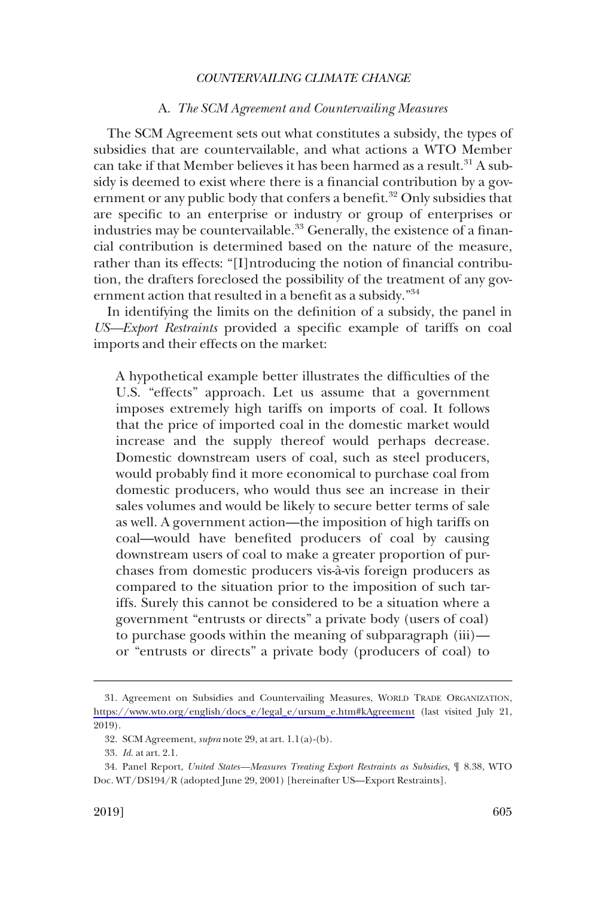## A. *The SCM Agreement and Countervailing Measures*

<span id="page-6-0"></span>The SCM Agreement sets out what constitutes a subsidy, the types of subsidies that are countervailable, and what actions a WTO Member can take if that Member believes it has been harmed as a result.<sup>31</sup> A subsidy is deemed to exist where there is a financial contribution by a government or any public body that confers a benefit.<sup>32</sup> Only subsidies that are specific to an enterprise or industry or group of enterprises or industries may be countervailable.<sup>33</sup> Generally, the existence of a financial contribution is determined based on the nature of the measure, rather than its effects: "[I]ntroducing the notion of financial contribution, the drafters foreclosed the possibility of the treatment of any government action that resulted in a benefit as a subsidy."<sup>34</sup>

In identifying the limits on the definition of a subsidy, the panel in *US—Export Restraints* provided a specific example of tariffs on coal imports and their effects on the market:

A hypothetical example better illustrates the difficulties of the U.S. "effects" approach. Let us assume that a government imposes extremely high tariffs on imports of coal. It follows that the price of imported coal in the domestic market would increase and the supply thereof would perhaps decrease. Domestic downstream users of coal, such as steel producers, would probably find it more economical to purchase coal from domestic producers, who would thus see an increase in their sales volumes and would be likely to secure better terms of sale as well. A government action—the imposition of high tariffs on coal—would have benefited producers of coal by causing downstream users of coal to make a greater proportion of purchases from domestic producers vis-a`-vis foreign producers as compared to the situation prior to the imposition of such tariffs. Surely this cannot be considered to be a situation where a government "entrusts or directs" a private body (users of coal) to purchase goods within the meaning of subparagraph (iii) or "entrusts or directs" a private body (producers of coal) to

<sup>31.</sup> Agreement on Subsidies and Countervailing Measures, WORLD TRADE ORGANIZATION, [https://www.wto.org/english/docs\\_e/legal\\_e/ursum\\_e.htm#kAgreement](https://www.wto.org/english/docs_e/legal_e/ursum_e.htm#kAgreement) (last visited July 21, 2019).

<sup>32.</sup> SCM Agreement, *supra* note 29, at art. 1.1(a)-(b).

<sup>33.</sup> *Id*. at art. 2.1.

<sup>34.</sup> Panel Report, *United States—Measures Treating Export Restraints as Subsidies*, ¶ 8.38, WTO Doc. WT/DS194/R (adopted June 29, 2001) [hereinafter US—Export Restraints].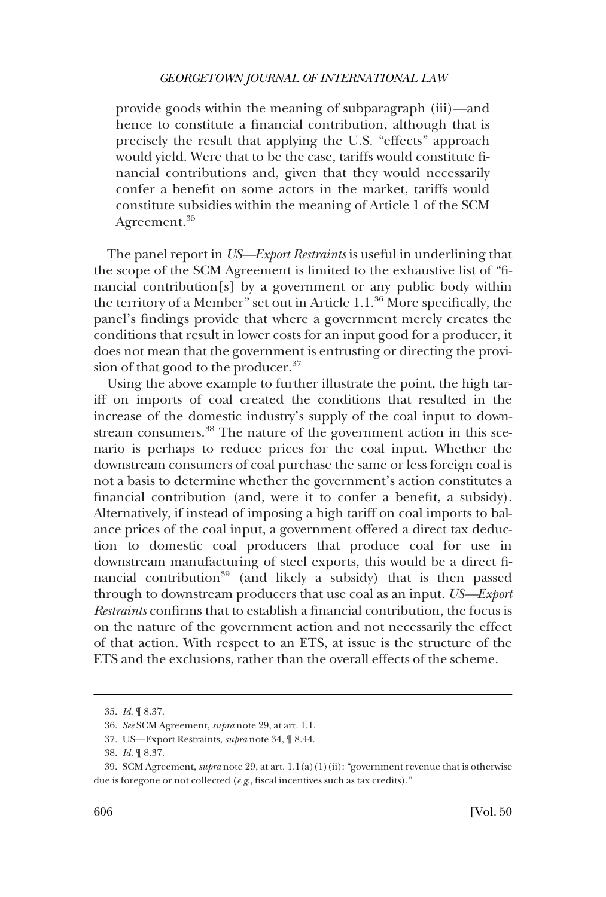provide goods within the meaning of subparagraph (iii)—and hence to constitute a financial contribution, although that is precisely the result that applying the U.S. "effects" approach would yield. Were that to be the case, tariffs would constitute financial contributions and, given that they would necessarily confer a benefit on some actors in the market, tariffs would constitute subsidies within the meaning of Article 1 of the SCM Agreement.<sup>35</sup>

The panel report in *US—Export Restraints* is useful in underlining that the scope of the SCM Agreement is limited to the exhaustive list of "financial contribution[s] by a government or any public body within the territory of a Member" set out in Article 1.1.36 More specifically, the panel's findings provide that where a government merely creates the conditions that result in lower costs for an input good for a producer, it does not mean that the government is entrusting or directing the provision of that good to the producer.<sup>37</sup>

Using the above example to further illustrate the point, the high tariff on imports of coal created the conditions that resulted in the increase of the domestic industry's supply of the coal input to downstream consumers.<sup>38</sup> The nature of the government action in this scenario is perhaps to reduce prices for the coal input. Whether the downstream consumers of coal purchase the same or less foreign coal is not a basis to determine whether the government's action constitutes a financial contribution (and, were it to confer a benefit, a subsidy). Alternatively, if instead of imposing a high tariff on coal imports to balance prices of the coal input, a government offered a direct tax deduction to domestic coal producers that produce coal for use in downstream manufacturing of steel exports, this would be a direct financial contribution<sup>39</sup> (and likely a subsidy) that is then passed through to downstream producers that use coal as an input. *US—Export Restraints* confirms that to establish a financial contribution, the focus is on the nature of the government action and not necessarily the effect of that action. With respect to an ETS, at issue is the structure of the ETS and the exclusions, rather than the overall effects of the scheme.

<sup>35.</sup> *Id*. ¶ 8.37.

<sup>36.</sup> *See* SCM Agreement, *supra* note 29, at art. 1.1.

<sup>37.</sup> US—Export Restraints, *supra* note 34, ¶ 8.44.

<sup>38.</sup> *Id*. ¶ 8.37.

<sup>39.</sup> SCM Agreement, *supra* note 29, at art. 1.1(a)(1)(ii): "government revenue that is otherwise due is foregone or not collected (*e.g*., fiscal incentives such as tax credits)."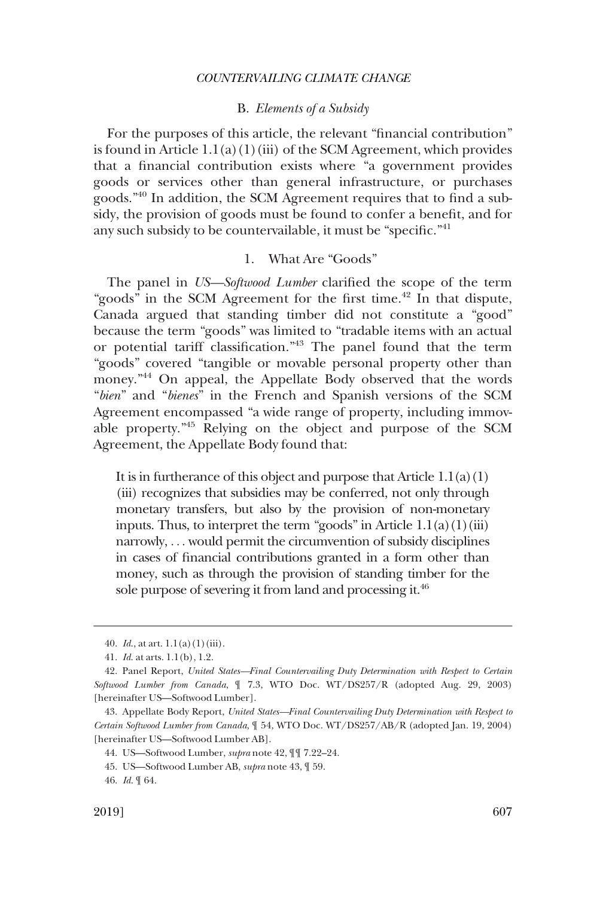## B. *Elements of a Subsidy*

<span id="page-8-0"></span>For the purposes of this article, the relevant "financial contribution" is found in Article  $1.1(a)(1)(iii)$  of the SCM Agreement, which provides that a financial contribution exists where "a government provides goods or services other than general infrastructure, or purchases goods."40 In addition, the SCM Agreement requires that to find a subsidy, the provision of goods must be found to confer a benefit, and for any such subsidy to be countervailable, it must be "specific."<sup>41</sup>

## 1. What Are "Goods"

The panel in *US—Softwood Lumber* clarified the scope of the term "goods" in the SCM Agreement for the first time.<sup>42</sup> In that dispute, Canada argued that standing timber did not constitute a "good" because the term "goods" was limited to "tradable items with an actual or potential tariff classification."43 The panel found that the term "goods" covered "tangible or movable personal property other than money."<sup>44</sup> On appeal, the Appellate Body observed that the words "*bien*" and "*bienes*" in the French and Spanish versions of the SCM Agreement encompassed "a wide range of property, including immovable property."45 Relying on the object and purpose of the SCM Agreement, the Appellate Body found that:

It is in furtherance of this object and purpose that Article  $1.1(a)(1)$ (iii) recognizes that subsidies may be conferred, not only through monetary transfers, but also by the provision of non-monetary inputs. Thus, to interpret the term "goods" in Article  $1.1(a)(1)(iii)$ narrowly, . . . would permit the circumvention of subsidy disciplines in cases of financial contributions granted in a form other than money, such as through the provision of standing timber for the sole purpose of severing it from land and processing it.<sup>46</sup>

<sup>40.</sup> *Id*., at art. 1.1(a)(1)(iii).

<sup>41.</sup> *Id*. at arts. 1.1(b), 1.2.

<sup>42.</sup> Panel Report, *United States—Final Countervailing Duty Determination with Respect to Certain Softwood Lumber from Canada*, ¶ 7.3, WTO Doc. WT/DS257/R (adopted Aug. 29, 2003) [hereinafter US—Softwood Lumber].

<sup>43.</sup> Appellate Body Report, *United States—Final Countervailing Duty Determination with Respect to Certain Softwood Lumber from Canada*, ¶ 54, WTO Doc. WT/DS257/AB/R (adopted Jan. 19, 2004) [hereinafter US—Softwood Lumber AB].

<sup>44.</sup> US—Softwood Lumber, *supra* note 42, ¶¶ 7.22–24.

<sup>45.</sup> US—Softwood Lumber AB, *supra* note 43, ¶ 59.

<sup>46.</sup> *Id*. ¶ 64.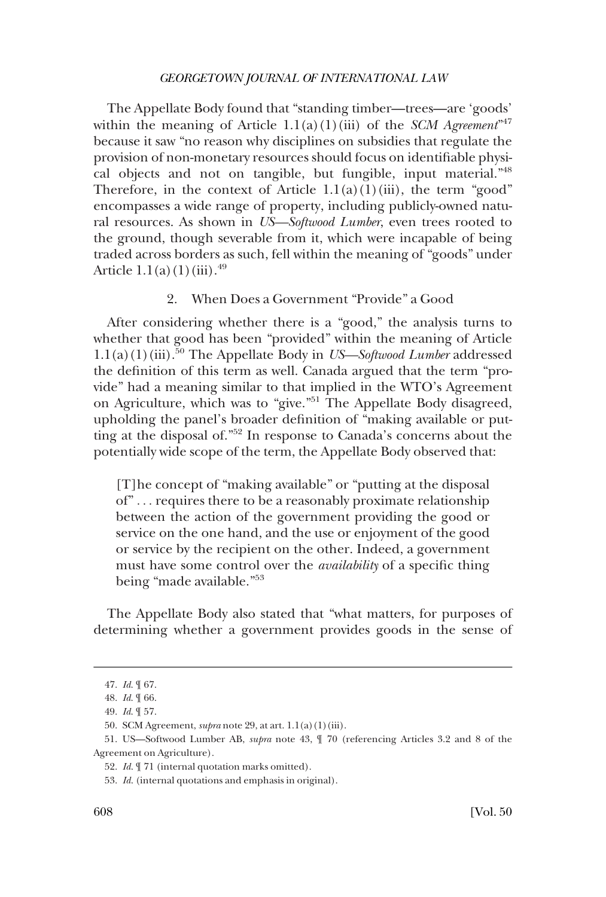<span id="page-9-0"></span>The Appellate Body found that "standing timber—trees—are 'goods' within the meaning of Article  $1.1(a)(1)(iii)$  of the *SCM Agreement*<sup>347</sup> because it saw "no reason why disciplines on subsidies that regulate the provision of non-monetary resources should focus on identifiable physical objects and not on tangible, but fungible, input material."48 Therefore, in the context of Article  $1.1(a)(1)(iii)$ , the term "good" encompasses a wide range of property, including publicly-owned natural resources. As shown in *US—Softwood Lumber*, even trees rooted to the ground, though severable from it, which were incapable of being traded across borders as such, fell within the meaning of "goods" under Article  $1.1(a)(1)(iii).^{49}$ 

#### 2. When Does a Government "Provide" a Good

After considering whether there is a "good," the analysis turns to whether that good has been "provided" within the meaning of Article 1.1(a)(1)(iii).50 The Appellate Body in *US—Softwood Lumber* addressed the definition of this term as well. Canada argued that the term "provide" had a meaning similar to that implied in the WTO's Agreement on Agriculture, which was to "give."<sup>51</sup> The Appellate Body disagreed, upholding the panel's broader definition of "making available or putting at the disposal of."52 In response to Canada's concerns about the potentially wide scope of the term, the Appellate Body observed that:

[T]he concept of "making available" or "putting at the disposal of" . . . requires there to be a reasonably proximate relationship between the action of the government providing the good or service on the one hand, and the use or enjoyment of the good or service by the recipient on the other. Indeed, a government must have some control over the *availability* of a specific thing being "made available."<sup>53</sup>

The Appellate Body also stated that "what matters, for purposes of determining whether a government provides goods in the sense of

<sup>47.</sup> *Id*. ¶ 67.

<sup>48.</sup> *Id*. ¶ 66.

<sup>49.</sup> *Id*. ¶ 57.

<sup>50.</sup> SCM Agreement, *supra* note 29, at art. 1.1(a)(1)(iii).

<sup>51.</sup> US—Softwood Lumber AB, *supra* note 43, ¶ 70 (referencing Articles 3.2 and 8 of the Agreement on Agriculture).

<sup>52.</sup> *Id*. ¶ 71 (internal quotation marks omitted).

<sup>53.</sup> *Id*. (internal quotations and emphasis in original).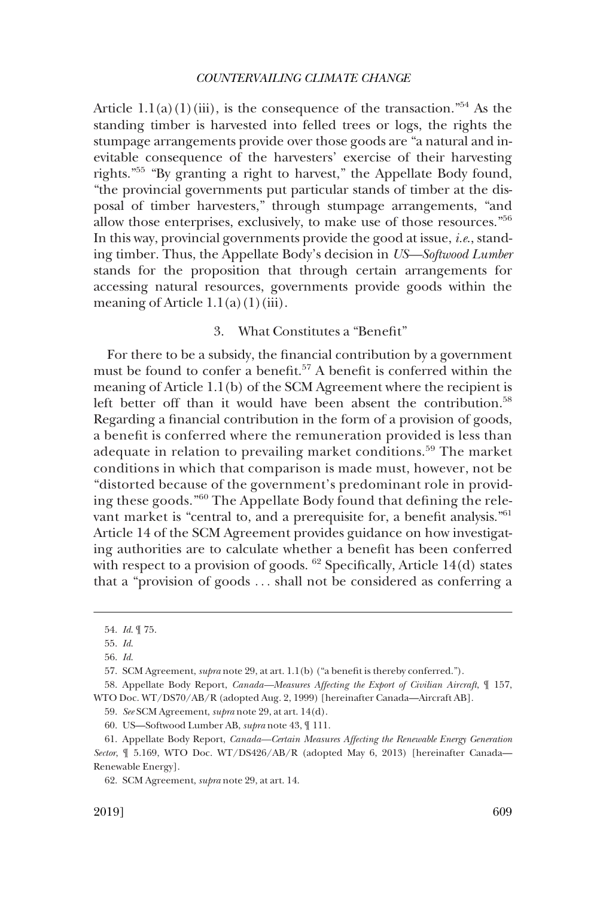<span id="page-10-0"></span>Article  $1.1(a)(1)(iii)$ , is the consequence of the transaction."<sup>54</sup> As the standing timber is harvested into felled trees or logs, the rights the stumpage arrangements provide over those goods are "a natural and inevitable consequence of the harvesters' exercise of their harvesting rights."55 "By granting a right to harvest," the Appellate Body found, "the provincial governments put particular stands of timber at the disposal of timber harvesters," through stumpage arrangements, "and allow those enterprises, exclusively, to make use of those resources."<sup>56</sup> In this way, provincial governments provide the good at issue, *i.e*., standing timber. Thus, the Appellate Body's decision in *US—Softwood Lumber*  stands for the proposition that through certain arrangements for accessing natural resources, governments provide goods within the meaning of Article  $1.1(a)(1)(iii)$ .

# 3. What Constitutes a "Benefit"

For there to be a subsidy, the financial contribution by a government must be found to confer a benefit.57 A benefit is conferred within the meaning of Article 1.1(b) of the SCM Agreement where the recipient is left better off than it would have been absent the contribution.<sup>58</sup> Regarding a financial contribution in the form of a provision of goods, a benefit is conferred where the remuneration provided is less than adequate in relation to prevailing market conditions.<sup>59</sup> The market conditions in which that comparison is made must, however, not be "distorted because of the government's predominant role in providing these goods."60 The Appellate Body found that defining the relevant market is "central to, and a prerequisite for, a benefit analysis."<sup>61</sup> Article 14 of the SCM Agreement provides guidance on how investigating authorities are to calculate whether a benefit has been conferred with respect to a provision of goods.  $62$  Specifically, Article 14(d) states that a "provision of goods . . . shall not be considered as conferring a

<sup>54.</sup> *Id*. ¶ 75.

<sup>55.</sup> *Id*.

<sup>56.</sup> *Id*.

<sup>57.</sup> SCM Agreement, *supra* note 29, at art. 1.1(b) ("a benefit is thereby conferred.").

<sup>58.</sup> Appellate Body Report, *Canada—Measures Affecting the Export of Civilian Aircraft*, ¶ 157, WTO Doc. WT/DS70/AB/R (adopted Aug. 2, 1999) [hereinafter Canada—Aircraft AB].

<sup>59.</sup> *See* SCM Agreement, *supra* note 29, at art. 14(d).

<sup>60.</sup> US—Softwood Lumber AB, *supra* note 43, ¶ 111.

<sup>61.</sup> Appellate Body Report, *Canada—Certain Measures Affecting the Renewable Energy Generation Sector*, ¶ 5.169, WTO Doc. WT/DS426/AB/R (adopted May 6, 2013) [hereinafter Canada— Renewable Energy].

<sup>62.</sup> SCM Agreement, *supra* note 29, at art. 14.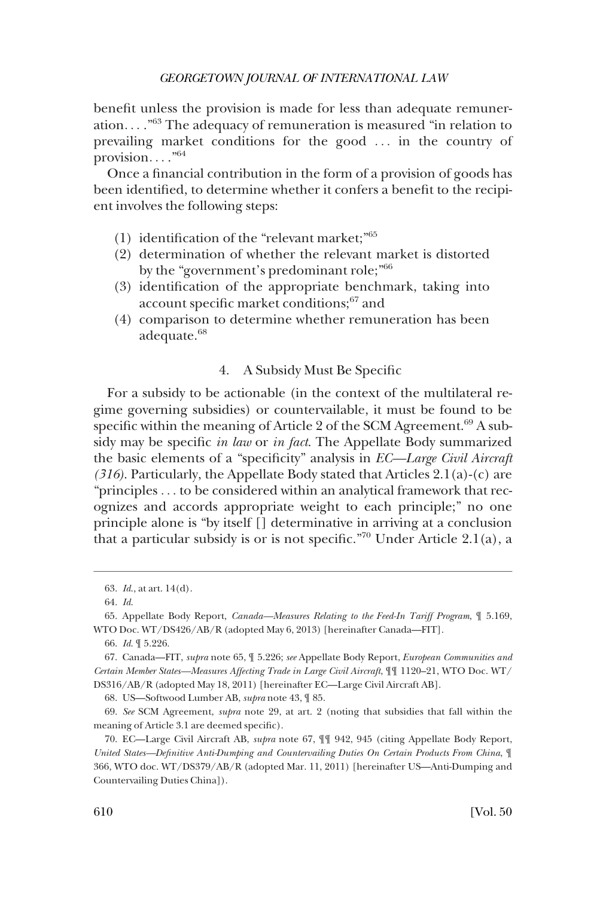<span id="page-11-0"></span>benefit unless the provision is made for less than adequate remuneration...."<sup>63</sup> The adequacy of remuneration is measured "in relation to prevailing market conditions for the good . . . in the country of provision...." $64$ 

Once a financial contribution in the form of a provision of goods has been identified, to determine whether it confers a benefit to the recipient involves the following steps:

- (1) identification of the "relevant market;"<sup>65</sup>
- (2) determination of whether the relevant market is distorted by the "government's predominant role;"<sup>66</sup>
- (3) identification of the appropriate benchmark, taking into account specific market conditions;<sup>67</sup> and
- (4) comparison to determine whether remuneration has been adequate.<sup>68</sup>

# 4. A Subsidy Must Be Specific

For a subsidy to be actionable (in the context of the multilateral regime governing subsidies) or countervailable, it must be found to be specific within the meaning of Article 2 of the SCM Agreement. $69$  A subsidy may be specific *in law* or *in fact*. The Appellate Body summarized the basic elements of a "specificity" analysis in *EC—Large Civil Aircraft (316)*. Particularly, the Appellate Body stated that Articles 2.1(a)-(c) are "principles . . . to be considered within an analytical framework that recognizes and accords appropriate weight to each principle;" no one principle alone is "by itself [] determinative in arriving at a conclusion that a particular subsidy is or is not specific."<sup>70</sup> Under Article 2.1(a), a

<sup>63.</sup> *Id*., at art. 14(d).

<sup>64.</sup> *Id*.

<sup>65.</sup> Appellate Body Report, *Canada—Measures Relating to the Feed-In Tariff Program*, ¶ 5.169, WTO Doc. WT/DS426/AB/R (adopted May 6, 2013) [hereinafter Canada—FIT].

<sup>66.</sup> *Id*. ¶ 5.226.

<sup>67.</sup> Canada—FIT, *supra* note 65, ¶ 5.226; *see* Appellate Body Report, *European Communities and Certain Member States—Measures Affecting Trade in Large Civil Aircraft*, ¶¶ 1120–21, WTO Doc. WT/ DS316/AB/R (adopted May 18, 2011) [hereinafter EC—Large Civil Aircraft AB].

<sup>68.</sup> US—Softwood Lumber AB, *supra* note 43, ¶ 85.

<sup>69.</sup> *See* SCM Agreement, *supra* note 29, at art. 2 (noting that subsidies that fall within the meaning of Article 3.1 are deemed specific).

<sup>70.</sup> EC—Large Civil Aircraft AB, *supra* note 67, ¶¶ 942, 945 (citing Appellate Body Report, *United States—Definitive Anti-Dumping and Countervailing Duties On Certain Products From China*, ¶ 366, WTO doc. WT/DS379/AB/R (adopted Mar. 11, 2011) [hereinafter US—Anti-Dumping and Countervailing Duties China]).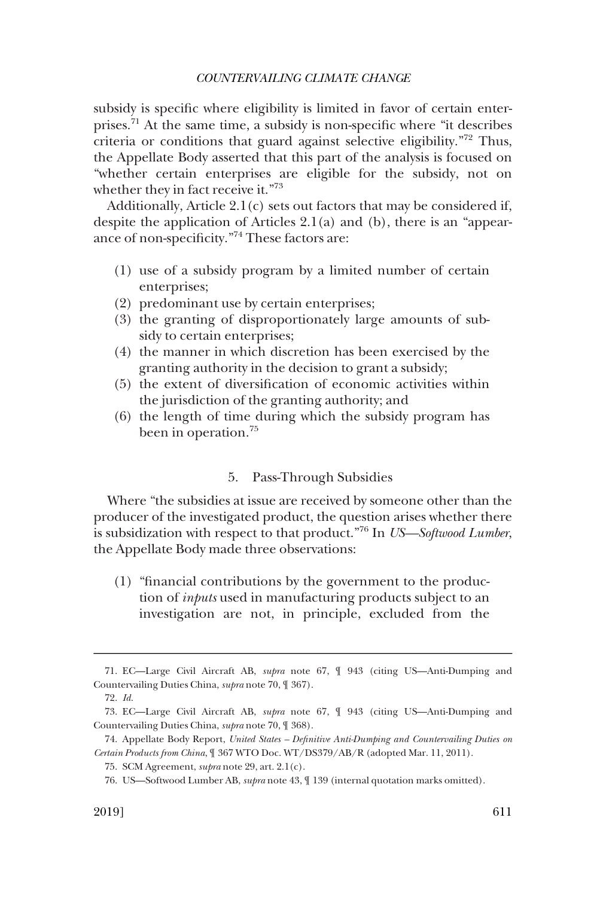<span id="page-12-0"></span>subsidy is specific where eligibility is limited in favor of certain enterprises.71 At the same time, a subsidy is non-specific where "it describes criteria or conditions that guard against selective eligibility."72 Thus, the Appellate Body asserted that this part of the analysis is focused on "whether certain enterprises are eligible for the subsidy, not on whether they in fact receive it."73

Additionally, Article 2.1(c) sets out factors that may be considered if, despite the application of Articles 2.1(a) and (b), there is an "appearance of non-specificity."74 These factors are:

- (1) use of a subsidy program by a limited number of certain enterprises;
- (2) predominant use by certain enterprises;
- (3) the granting of disproportionately large amounts of subsidy to certain enterprises;
- (4) the manner in which discretion has been exercised by the granting authority in the decision to grant a subsidy;
- (5) the extent of diversification of economic activities within the jurisdiction of the granting authority; and
- (6) the length of time during which the subsidy program has been in operation.<sup>75</sup>

## 5. Pass-Through Subsidies

Where "the subsidies at issue are received by someone other than the producer of the investigated product, the question arises whether there is subsidization with respect to that product."76 In *US—Softwood Lumber*, the Appellate Body made three observations:

(1) "financial contributions by the government to the production of *inputs* used in manufacturing products subject to an investigation are not, in principle, excluded from the

<sup>71.</sup> EC—Large Civil Aircraft AB, *supra* note 67, ¶ 943 (citing US—Anti-Dumping and Countervailing Duties China, *supra* note 70, ¶ 367).

<sup>72.</sup> *Id*.

<sup>73.</sup> EC—Large Civil Aircraft AB, *supra* note 67, ¶ 943 (citing US—Anti-Dumping and Countervailing Duties China, *supra* note 70, ¶ 368).

<sup>74.</sup> Appellate Body Report, *United States – Definitive Anti-Dumping and Countervailing Duties on Certain Products from China*, ¶ 367 WTO Doc. WT/DS379/AB/R (adopted Mar. 11, 2011).

<sup>75.</sup> SCM Agreement, *supra* note 29, art. 2.1(c).

<sup>76.</sup> US—Softwood Lumber AB, *supra* note 43, ¶ 139 (internal quotation marks omitted).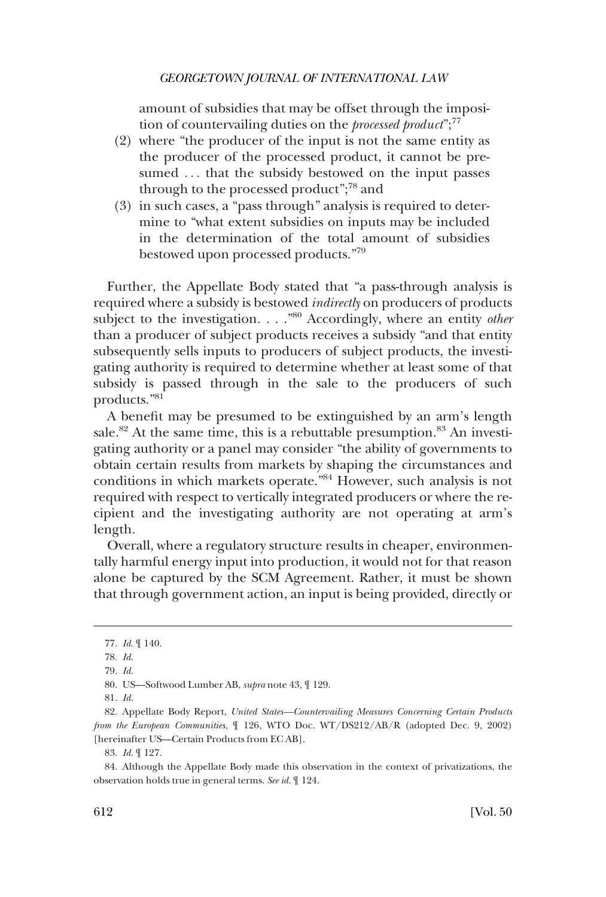amount of subsidies that may be offset through the imposition of countervailing duties on the *processed product*";<sup>77</sup>

- (2) where "the producer of the input is not the same entity as the producer of the processed product, it cannot be presumed ... that the subsidy bestowed on the input passes through to the processed product";<sup>78</sup> and
- (3) in such cases, a "pass through" analysis is required to determine to "what extent subsidies on inputs may be included in the determination of the total amount of subsidies bestowed upon processed products."<sup>79</sup>

Further, the Appellate Body stated that "a pass-through analysis is required where a subsidy is bestowed *indirectly* on producers of products subject to the investigation. . . . .<sup>80</sup> Accordingly, where an entity *other* than a producer of subject products receives a subsidy "and that entity subsequently sells inputs to producers of subject products, the investigating authority is required to determine whether at least some of that subsidy is passed through in the sale to the producers of such products."81

A benefit may be presumed to be extinguished by an arm's length sale.<sup>82</sup> At the same time, this is a rebuttable presumption.<sup>83</sup> An investigating authority or a panel may consider "the ability of governments to obtain certain results from markets by shaping the circumstances and conditions in which markets operate."84 However, such analysis is not required with respect to vertically integrated producers or where the recipient and the investigating authority are not operating at arm's length.

Overall, where a regulatory structure results in cheaper, environmentally harmful energy input into production, it would not for that reason alone be captured by the SCM Agreement. Rather, it must be shown that through government action, an input is being provided, directly or

<sup>77.</sup> *Id*. ¶ 140.

<sup>78.</sup> *Id*.

<sup>79.</sup> *Id*.

<sup>80.</sup> US—Softwood Lumber AB, *supra* note 43, ¶ 129.

<sup>81.</sup> *Id*.

<sup>82.</sup> Appellate Body Report, *United States—Countervailing Measures Concerning Certain Products from the European Communities*, ¶ 126, WTO Doc. WT/DS212/AB/R (adopted Dec. 9, 2002) [hereinafter US—Certain Products from EC AB].

<sup>83.</sup> *Id*. ¶ 127.

<sup>84.</sup> Although the Appellate Body made this observation in the context of privatizations, the observation holds true in general terms. *See id*. ¶ 124.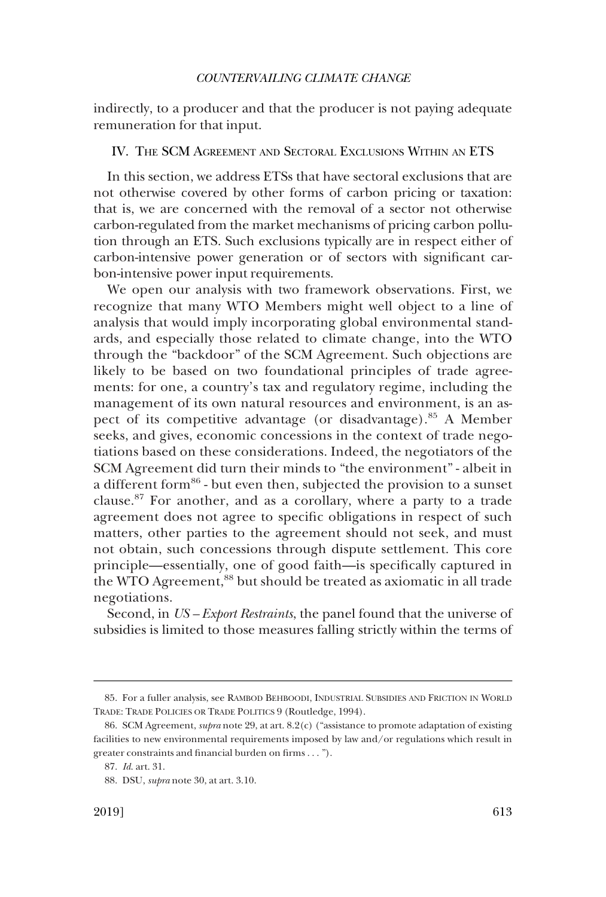<span id="page-14-0"></span>indirectly, to a producer and that the producer is not paying adequate remuneration for that input.

# IV. THE SCM AGREEMENT AND SECTORAL EXCLUSIONS WITHIN AN ETS

In this section, we address ETSs that have sectoral exclusions that are not otherwise covered by other forms of carbon pricing or taxation: that is, we are concerned with the removal of a sector not otherwise carbon-regulated from the market mechanisms of pricing carbon pollution through an ETS. Such exclusions typically are in respect either of carbon-intensive power generation or of sectors with significant carbon-intensive power input requirements.

We open our analysis with two framework observations. First, we recognize that many WTO Members might well object to a line of analysis that would imply incorporating global environmental standards, and especially those related to climate change, into the WTO through the "backdoor" of the SCM Agreement. Such objections are likely to be based on two foundational principles of trade agreements: for one, a country's tax and regulatory regime, including the management of its own natural resources and environment, is an aspect of its competitive advantage (or disadvantage).<sup>85</sup> A Member seeks, and gives, economic concessions in the context of trade negotiations based on these considerations. Indeed, the negotiators of the SCM Agreement did turn their minds to "the environment" - albeit in a different form<sup>86</sup> - but even then, subjected the provision to a sunset clause.87 For another, and as a corollary, where a party to a trade agreement does not agree to specific obligations in respect of such matters, other parties to the agreement should not seek, and must not obtain, such concessions through dispute settlement. This core principle—essentially, one of good faith—is specifically captured in the WTO Agreement,<sup>88</sup> but should be treated as axiomatic in all trade negotiations.

Second, in *US – Export Restraints*, the panel found that the universe of subsidies is limited to those measures falling strictly within the terms of

<sup>85.</sup> For a fuller analysis, see RAMBOD BEHBOODI, INDUSTRIAL SUBSIDIES AND FRICTION IN WORLD TRADE: TRADE POLICIES OR TRADE POLITICS 9 (Routledge, 1994).

<sup>86.</sup> SCM Agreement, *supra* note 29, at art. 8.2(c) ("assistance to promote adaptation of existing facilities to new environmental requirements imposed by law and/or regulations which result in greater constraints and financial burden on firms . . . ").

<sup>87.</sup> *Id*. art. 31.

<sup>88.</sup> DSU, *supra* note 30, at art. 3.10.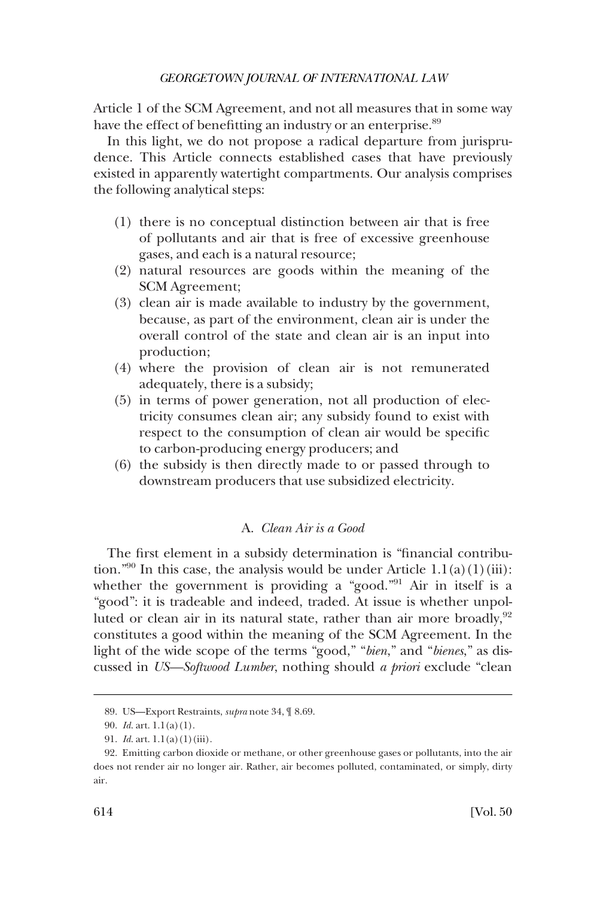<span id="page-15-0"></span>Article 1 of the SCM Agreement, and not all measures that in some way have the effect of benefitting an industry or an enterprise.<sup>89</sup>

In this light, we do not propose a radical departure from jurisprudence. This Article connects established cases that have previously existed in apparently watertight compartments. Our analysis comprises the following analytical steps:

- (1) there is no conceptual distinction between air that is free of pollutants and air that is free of excessive greenhouse gases, and each is a natural resource;
- (2) natural resources are goods within the meaning of the SCM Agreement;
- (3) clean air is made available to industry by the government, because, as part of the environment, clean air is under the overall control of the state and clean air is an input into production;
- (4) where the provision of clean air is not remunerated adequately, there is a subsidy;
- (5) in terms of power generation, not all production of electricity consumes clean air; any subsidy found to exist with respect to the consumption of clean air would be specific to carbon-producing energy producers; and
- (6) the subsidy is then directly made to or passed through to downstream producers that use subsidized electricity.

# A. *Clean Air is a Good*

The first element in a subsidy determination is "financial contribution."<sup>90</sup> In this case, the analysis would be under Article  $1.1(a)(1)(iii)$ : whether the government is providing a "good."<sup>91</sup> Air in itself is a "good": it is tradeable and indeed, traded. At issue is whether unpolluted or clean air in its natural state, rather than air more broadly,  $92$ constitutes a good within the meaning of the SCM Agreement. In the light of the wide scope of the terms "good," "*bien*," and "*bienes*," as discussed in *US—Softwood Lumber*, nothing should *a priori* exclude "clean

<sup>89.</sup> US—Export Restraints, *supra* note 34, ¶ 8.69.

<sup>90.</sup> *Id*. art. 1.1(a)(1).

<sup>91.</sup> *Id*. art. 1.1(a)(1)(iii).

<sup>92.</sup> Emitting carbon dioxide or methane, or other greenhouse gases or pollutants, into the air does not render air no longer air. Rather, air becomes polluted, contaminated, or simply, dirty air.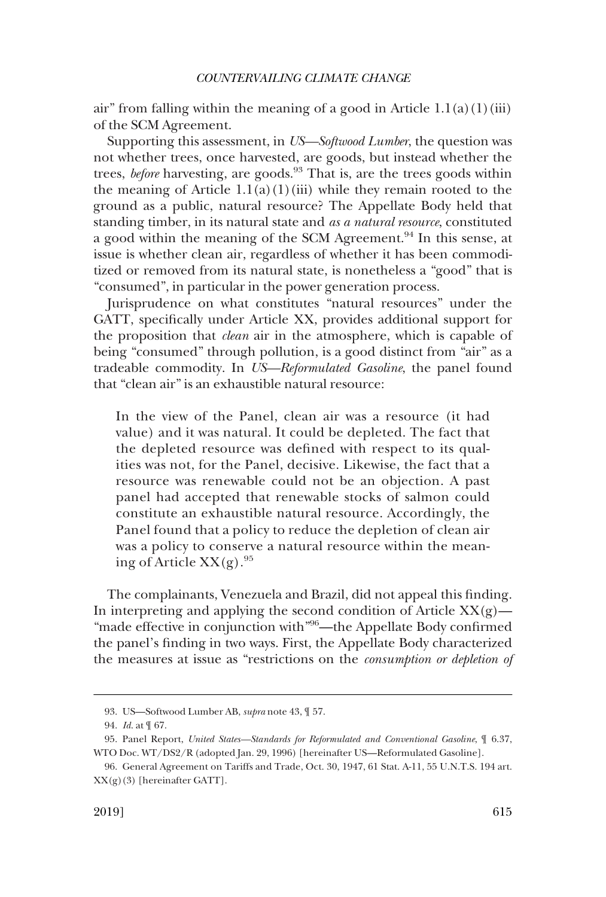air" from falling within the meaning of a good in Article  $1.1(a)(1)(iii)$ of the SCM Agreement.

Supporting this assessment, in *US—Softwood Lumber*, the question was not whether trees, once harvested, are goods, but instead whether the trees, *before* harvesting, are goods.<sup>93</sup> That is, are the trees goods within the meaning of Article  $1.1(a)(1)(iii)$  while they remain rooted to the ground as a public, natural resource? The Appellate Body held that standing timber, in its natural state and *as a natural resource*, constituted a good within the meaning of the SCM Agreement.<sup>94</sup> In this sense, at issue is whether clean air, regardless of whether it has been commoditized or removed from its natural state, is nonetheless a "good" that is "consumed", in particular in the power generation process.

Jurisprudence on what constitutes "natural resources" under the GATT, specifically under Article XX, provides additional support for the proposition that *clean* air in the atmosphere, which is capable of being "consumed" through pollution, is a good distinct from "air" as a tradeable commodity. In *US—Reformulated Gasoline*, the panel found that "clean air" is an exhaustible natural resource:

In the view of the Panel, clean air was a resource (it had value) and it was natural. It could be depleted. The fact that the depleted resource was defined with respect to its qualities was not, for the Panel, decisive. Likewise, the fact that a resource was renewable could not be an objection. A past panel had accepted that renewable stocks of salmon could constitute an exhaustible natural resource. Accordingly, the Panel found that a policy to reduce the depletion of clean air was a policy to conserve a natural resource within the meaning of Article  $XX(g)$ .<sup>95</sup>

The complainants, Venezuela and Brazil, did not appeal this finding. In interpreting and applying the second condition of Article  $XX(g)$ — "made effective in conjunction with"<sup>96</sup>—the Appellate Body confirmed the panel's finding in two ways. First, the Appellate Body characterized the measures at issue as "restrictions on the *consumption or depletion of* 

<sup>93.</sup> US—Softwood Lumber AB, *supra* note 43, ¶ 57.

<sup>94.</sup> *Id*. at ¶ 67.

<sup>95.</sup> Panel Report, *United States—Standards for Reformulated and Conventional Gasoline*, ¶ 6.37, WTO Doc. WT/DS2/R (adopted Jan. 29, 1996) [hereinafter US—Reformulated Gasoline].

<sup>96.</sup> General Agreement on Tariffs and Trade, Oct. 30, 1947, 61 Stat. A-11, 55 U.N.T.S. 194 art.  $XX(g)(3)$  [hereinafter GATT].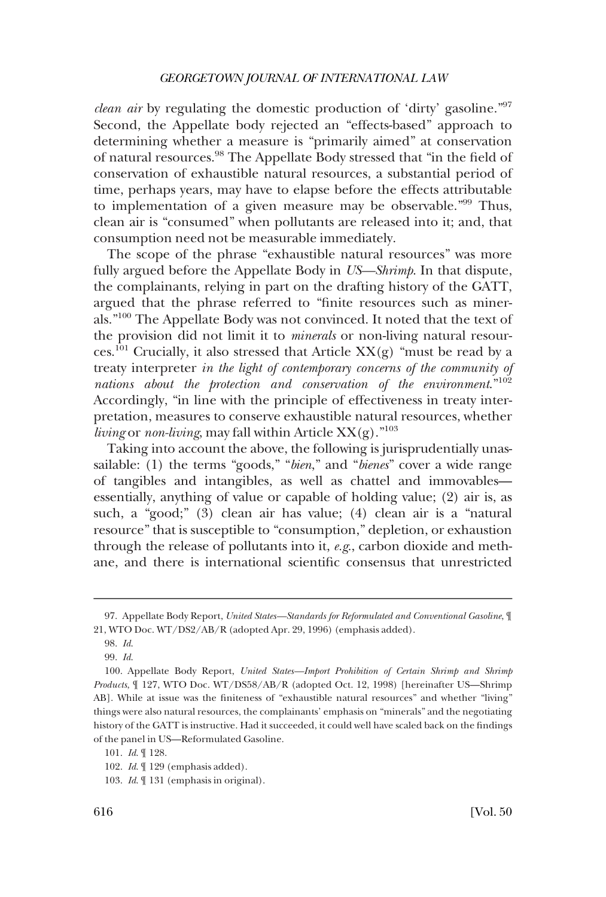*clean air* by regulating the domestic production of 'dirty' gasoline."97 Second, the Appellate body rejected an "effects-based" approach to determining whether a measure is "primarily aimed" at conservation of natural resources.98 The Appellate Body stressed that "in the field of conservation of exhaustible natural resources, a substantial period of time, perhaps years, may have to elapse before the effects attributable to implementation of a given measure may be observable."99 Thus, clean air is "consumed" when pollutants are released into it; and, that consumption need not be measurable immediately.

The scope of the phrase "exhaustible natural resources" was more fully argued before the Appellate Body in *US—Shrimp*. In that dispute, the complainants, relying in part on the drafting history of the GATT, argued that the phrase referred to "finite resources such as minerals."100 The Appellate Body was not convinced. It noted that the text of the provision did not limit it to *minerals* or non-living natural resources.<sup>101</sup> Crucially, it also stressed that Article  $XX(g)$  "must be read by a treaty interpreter *in the light of contemporary concerns of the community of nations about the protection and conservation of the environment*."<sup>102</sup> Accordingly, "in line with the principle of effectiveness in treaty interpretation, measures to conserve exhaustible natural resources, whether *living* or *non-living*, may fall within Article  $XX(g)$ ."<sup>103</sup>

Taking into account the above, the following is jurisprudentially unassailable: (1) the terms "goods," "*bien*," and "*bienes*" cover a wide range of tangibles and intangibles, as well as chattel and immovables essentially, anything of value or capable of holding value; (2) air is, as such, a "good;" (3) clean air has value; (4) clean air is a "natural resource" that is susceptible to "consumption," depletion, or exhaustion through the release of pollutants into it, *e.g*., carbon dioxide and methane, and there is international scientific consensus that unrestricted

<sup>97.</sup> Appellate Body Report, *United States—Standards for Reformulated and Conventional Gasoline*, ¶ 21, WTO Doc. WT/DS2/AB/R (adopted Apr. 29, 1996) (emphasis added).

<sup>98.</sup> *Id*.

<sup>99.</sup> *Id*.

<sup>100.</sup> Appellate Body Report, *United States—Import Prohibition of Certain Shrimp and Shrimp Products*, ¶ 127, WTO Doc. WT/DS58/AB/R (adopted Oct. 12, 1998) [hereinafter US—Shrimp AB]. While at issue was the finiteness of "exhaustible natural resources" and whether "living" things were also natural resources, the complainants' emphasis on "minerals" and the negotiating history of the GATT is instructive. Had it succeeded, it could well have scaled back on the findings of the panel in US—Reformulated Gasoline.

<sup>101.</sup> *Id*. ¶ 128.

<sup>102.</sup> *Id*. ¶ 129 (emphasis added).

<sup>103.</sup> *Id*. ¶ 131 (emphasis in original).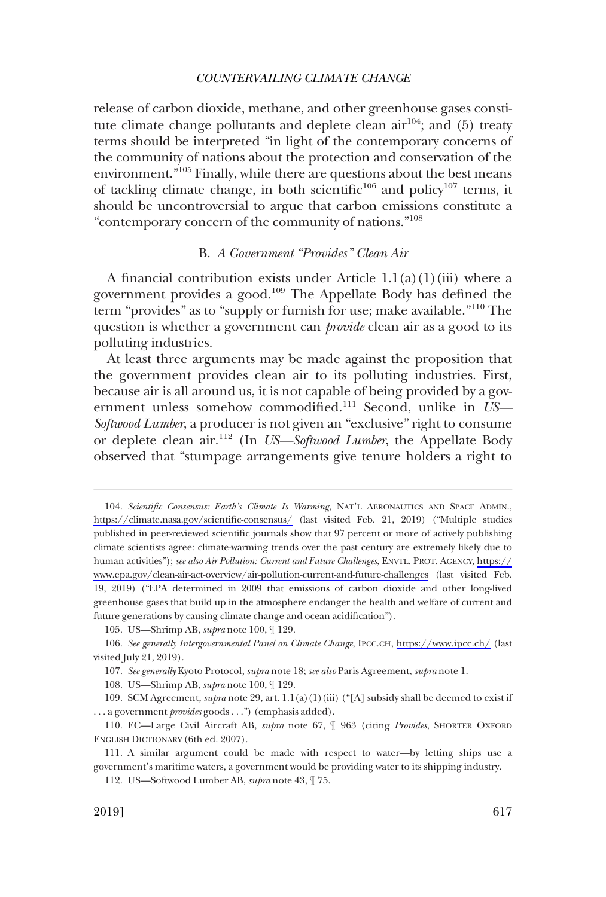<span id="page-18-0"></span>release of carbon dioxide, methane, and other greenhouse gases constitute climate change pollutants and deplete clean  $air^{104}$ ; and (5) treaty terms should be interpreted "in light of the contemporary concerns of the community of nations about the protection and conservation of the environment."105 Finally, while there are questions about the best means of tackling climate change, in both scientific<sup>106</sup> and policy<sup>107</sup> terms, it should be uncontroversial to argue that carbon emissions constitute a "contemporary concern of the community of nations."108

# B. *A Government "Provides" Clean Air*

A financial contribution exists under Article  $1.1(a)(1)(iii)$  where a government provides a good.109 The Appellate Body has defined the term "provides" as to "supply or furnish for use; make available."110 The question is whether a government can *provide* clean air as a good to its polluting industries.

At least three arguments may be made against the proposition that the government provides clean air to its polluting industries. First, because air is all around us, it is not capable of being provided by a government unless somehow commodified.111 Second, unlike in *US— Softwood Lumber*, a producer is not given an "exclusive" right to consume or deplete clean air.112 (In *US—Softwood Lumber*, the Appellate Body observed that "stumpage arrangements give tenure holders a right to

<sup>104.</sup> Scientific Consensus: Earth's Climate Is Warming, NAT'L AERONAUTICS AND SPACE ADMIN., <https://climate.nasa.gov/scientific-consensus/> (last visited Feb. 21, 2019) ("Multiple studies published in peer-reviewed scientific journals show that 97 percent or more of actively publishing climate scientists agree: climate-warming trends over the past century are extremely likely due to human activities"); *see also Air Pollution: Current and Future Challenges*, ENVTL. PROT. AGENCY, [https://](https://www.epa.gov/clean-air-act-overview/air-pollution-current-and-future-challenges)  [www.epa.gov/clean-air-act-overview/air-pollution-current-and-future-challenges](https://www.epa.gov/clean-air-act-overview/air-pollution-current-and-future-challenges) (last visited Feb. 19, 2019) ("EPA determined in 2009 that emissions of carbon dioxide and other long-lived greenhouse gases that build up in the atmosphere endanger the health and welfare of current and future generations by causing climate change and ocean acidification").

<sup>105.</sup> US—Shrimp AB, *supra* note 100, ¶ 129.

*See generally Intergovernmental Panel on Climate Change*, IPCC.CH, <https://www.ipcc.ch/>(last 106. visited July 21, 2019).

<sup>107.</sup> *See generally* Kyoto Protocol, *supra* note 18; *see also* Paris Agreement, *supra* note 1.

<sup>108.</sup> US—Shrimp AB, *supra* note 100, ¶ 129.

<sup>109.</sup> SCM Agreement, *supra* note 29, art. 1.1(a)(1)(iii) ("[A] subsidy shall be deemed to exist if . . . a government *provides* goods . . .") (emphasis added).

<sup>110.</sup> EC—Large Civil Aircraft AB, *supra* note 67, ¶ 963 (citing *Provides*, SHORTER OXFORD ENGLISH DICTIONARY (6th ed. 2007).

<sup>111.</sup> A similar argument could be made with respect to water—by letting ships use a government's maritime waters, a government would be providing water to its shipping industry.

<sup>112.</sup> US—Softwood Lumber AB, *supra* note 43, ¶ 75.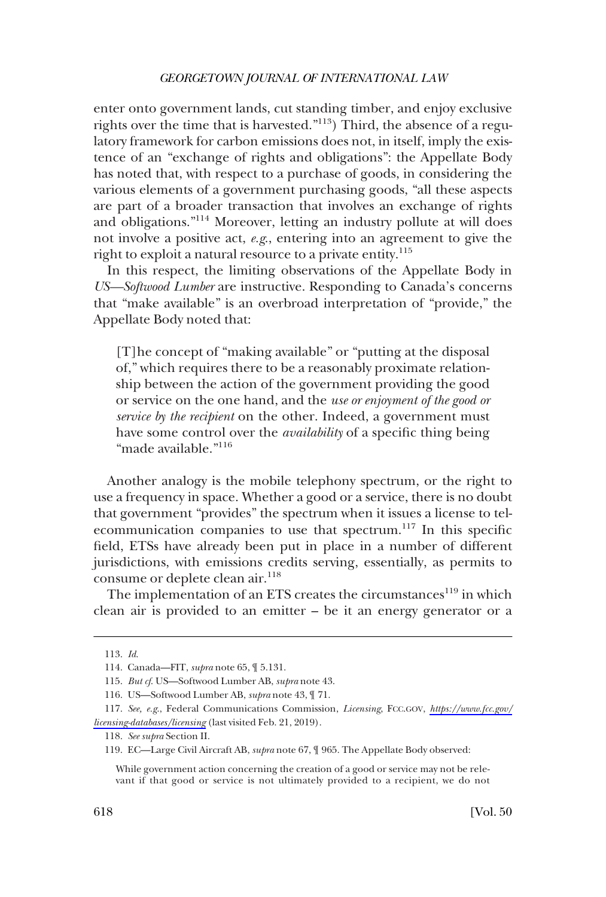enter onto government lands, cut standing timber, and enjoy exclusive rights over the time that is harvested."113) Third, the absence of a regulatory framework for carbon emissions does not, in itself, imply the existence of an "exchange of rights and obligations": the Appellate Body has noted that, with respect to a purchase of goods, in considering the various elements of a government purchasing goods, "all these aspects are part of a broader transaction that involves an exchange of rights and obligations."114 Moreover, letting an industry pollute at will does not involve a positive act, *e.g*., entering into an agreement to give the right to exploit a natural resource to a private entity.<sup>115</sup>

In this respect, the limiting observations of the Appellate Body in *US—Softwood Lumber* are instructive. Responding to Canada's concerns that "make available" is an overbroad interpretation of "provide," the Appellate Body noted that:

[T]he concept of "making available" or "putting at the disposal of," which requires there to be a reasonably proximate relationship between the action of the government providing the good or service on the one hand, and the *use or enjoyment of the good or service by the recipient* on the other. Indeed, a government must have some control over the *availability* of a specific thing being "made available."<sup>116</sup>

Another analogy is the mobile telephony spectrum, or the right to use a frequency in space. Whether a good or a service, there is no doubt that government "provides" the spectrum when it issues a license to telecommunication companies to use that spectrum.<sup>117</sup> In this specific field, ETSs have already been put in place in a number of different jurisdictions, with emissions credits serving, essentially, as permits to consume or deplete clean air.<sup>118</sup>

The implementation of an ETS creates the circumstances<sup>119</sup> in which clean air is provided to an emitter – be it an energy generator or a

<sup>113.</sup> *Id*.

<sup>114.</sup> Canada—FIT, *supra* note 65, ¶ 5.131.

<sup>115.</sup> *But cf*. US—Softwood Lumber AB, *supra* note 43.

<sup>116.</sup> US—Softwood Lumber AB, *supra* note 43, ¶ 71.

*See, e.g*., Federal Communications Commission, *Licensing*, FCC.GOV, *[https://www.fcc.gov/](https://www.fcc.gov/licensing-databases/licensing)*  117. *[licensing-databases/licensing](https://www.fcc.gov/licensing-databases/licensing)* (last visited Feb. 21, 2019).

<sup>118.</sup> *See supra* Section II.

<sup>119.</sup> EC—Large Civil Aircraft AB, *supra* note 67, ¶ 965. The Appellate Body observed:

While government action concerning the creation of a good or service may not be relevant if that good or service is not ultimately provided to a recipient, we do not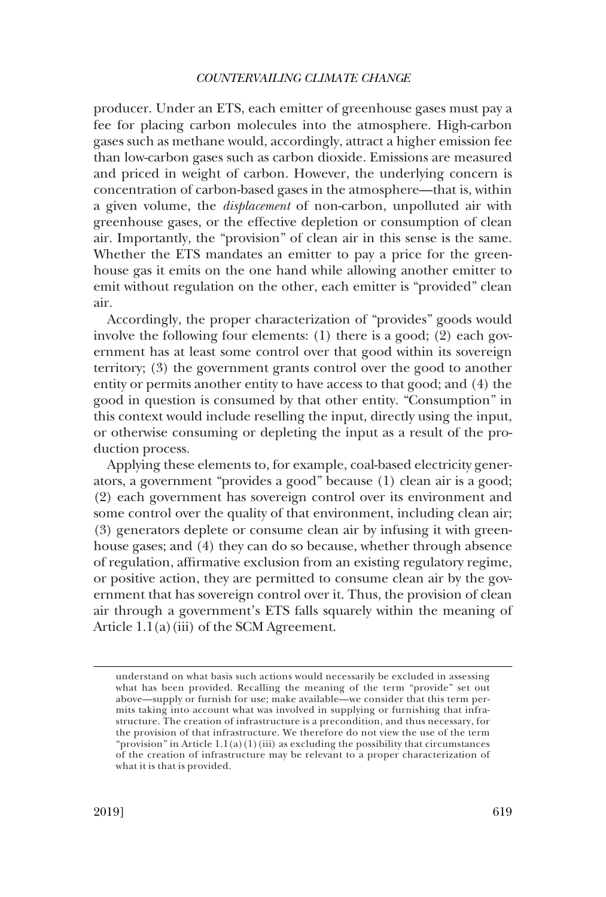producer. Under an ETS, each emitter of greenhouse gases must pay a fee for placing carbon molecules into the atmosphere. High-carbon gases such as methane would, accordingly, attract a higher emission fee than low-carbon gases such as carbon dioxide. Emissions are measured and priced in weight of carbon. However, the underlying concern is concentration of carbon-based gases in the atmosphere—that is, within a given volume, the *displacement* of non-carbon, unpolluted air with greenhouse gases, or the effective depletion or consumption of clean air. Importantly, the "provision" of clean air in this sense is the same. Whether the ETS mandates an emitter to pay a price for the greenhouse gas it emits on the one hand while allowing another emitter to emit without regulation on the other, each emitter is "provided" clean air.

Accordingly, the proper characterization of "provides" goods would involve the following four elements: (1) there is a good; (2) each government has at least some control over that good within its sovereign territory; (3) the government grants control over the good to another entity or permits another entity to have access to that good; and (4) the good in question is consumed by that other entity. "Consumption" in this context would include reselling the input, directly using the input, or otherwise consuming or depleting the input as a result of the production process.

Applying these elements to, for example, coal-based electricity generators, a government "provides a good" because (1) clean air is a good; (2) each government has sovereign control over its environment and some control over the quality of that environment, including clean air; (3) generators deplete or consume clean air by infusing it with greenhouse gases; and (4) they can do so because, whether through absence of regulation, affirmative exclusion from an existing regulatory regime, or positive action, they are permitted to consume clean air by the government that has sovereign control over it. Thus, the provision of clean air through a government's ETS falls squarely within the meaning of Article  $1.1(a)$ (iii) of the SCM Agreement.

understand on what basis such actions would necessarily be excluded in assessing what has been provided. Recalling the meaning of the term "provide" set out above—supply or furnish for use; make available—we consider that this term permits taking into account what was involved in supplying or furnishing that infrastructure. The creation of infrastructure is a precondition, and thus necessary, for the provision of that infrastructure. We therefore do not view the use of the term "provision" in Article 1.1(a)(1)(iii) as excluding the possibility that circumstances of the creation of infrastructure may be relevant to a proper characterization of what it is that is provided.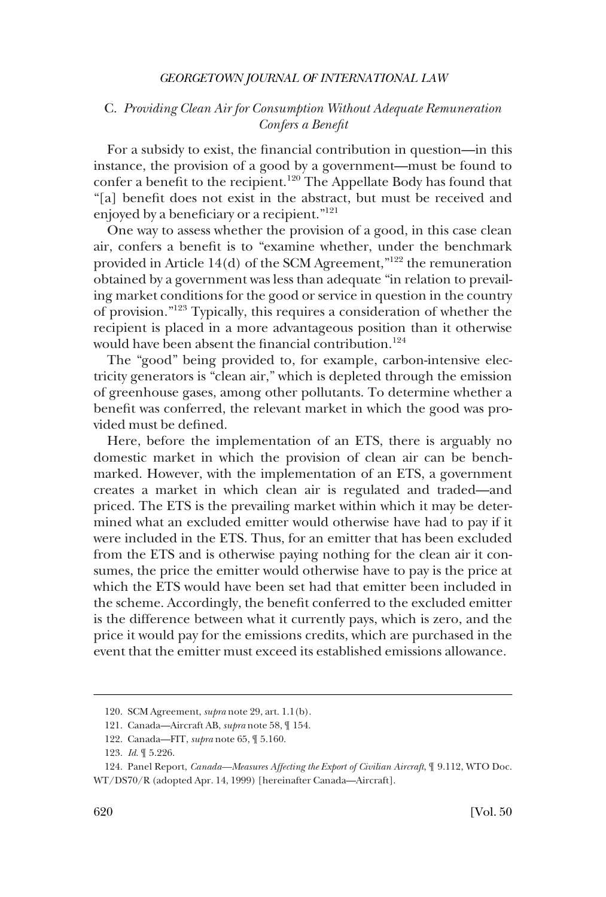# <span id="page-21-0"></span>C. *Providing Clean Air for Consumption Without Adequate Remuneration Confers a Benefit*

For a subsidy to exist, the financial contribution in question—in this instance, the provision of a good by a government—must be found to confer a benefit to the recipient.<sup>120</sup> The Appellate Body has found that "[a] benefit does not exist in the abstract, but must be received and enjoyed by a beneficiary or a recipient."<sup>121</sup>

One way to assess whether the provision of a good, in this case clean air, confers a benefit is to "examine whether, under the benchmark provided in Article 14(d) of the SCM Agreement,"122 the remuneration obtained by a government was less than adequate "in relation to prevailing market conditions for the good or service in question in the country of provision."123 Typically, this requires a consideration of whether the recipient is placed in a more advantageous position than it otherwise would have been absent the financial contribution.<sup>124</sup>

The "good" being provided to, for example, carbon-intensive electricity generators is "clean air," which is depleted through the emission of greenhouse gases, among other pollutants. To determine whether a benefit was conferred, the relevant market in which the good was provided must be defined.

Here, before the implementation of an ETS, there is arguably no domestic market in which the provision of clean air can be benchmarked. However, with the implementation of an ETS, a government creates a market in which clean air is regulated and traded—and priced. The ETS is the prevailing market within which it may be determined what an excluded emitter would otherwise have had to pay if it were included in the ETS. Thus, for an emitter that has been excluded from the ETS and is otherwise paying nothing for the clean air it consumes, the price the emitter would otherwise have to pay is the price at which the ETS would have been set had that emitter been included in the scheme. Accordingly, the benefit conferred to the excluded emitter is the difference between what it currently pays, which is zero, and the price it would pay for the emissions credits, which are purchased in the event that the emitter must exceed its established emissions allowance.

<sup>120.</sup> SCM Agreement, *supra* note 29, art. 1.1(b).

<sup>121.</sup> Canada—Aircraft AB, *supra* note 58, ¶ 154.

<sup>122.</sup> Canada—FIT, *supra* note 65, ¶ 5.160.

<sup>123.</sup> *Id*. ¶ 5.226.

<sup>124.</sup> Panel Report, *Canada—Measures Affecting the Export of Civilian Aircraft*, ¶ 9.112, WTO Doc. WT/DS70/R (adopted Apr. 14, 1999) [hereinafter Canada—Aircraft].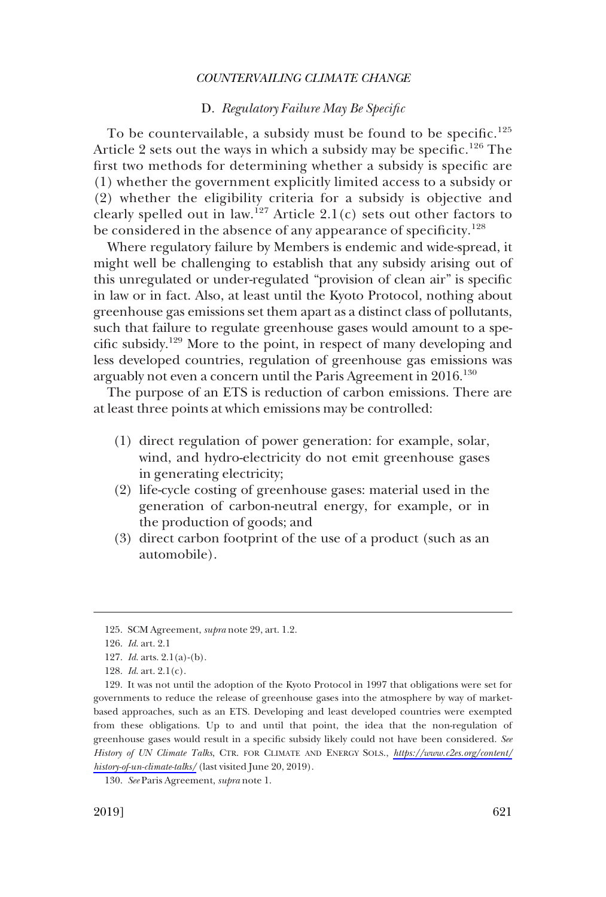# D. *Regulatory Failure May Be Specific*

<span id="page-22-0"></span>To be countervailable, a subsidy must be found to be specific.<sup>125</sup> Article 2 sets out the ways in which a subsidy may be specific.<sup>126</sup> The first two methods for determining whether a subsidy is specific are (1) whether the government explicitly limited access to a subsidy or (2) whether the eligibility criteria for a subsidy is objective and clearly spelled out in law.<sup>127</sup> Article 2.1(c) sets out other factors to be considered in the absence of any appearance of specificity.<sup>128</sup>

Where regulatory failure by Members is endemic and wide-spread, it might well be challenging to establish that any subsidy arising out of this unregulated or under-regulated "provision of clean air" is specific in law or in fact. Also, at least until the Kyoto Protocol, nothing about greenhouse gas emissions set them apart as a distinct class of pollutants, such that failure to regulate greenhouse gases would amount to a specific subsidy.129 More to the point, in respect of many developing and less developed countries, regulation of greenhouse gas emissions was arguably not even a concern until the Paris Agreement in 2016.<sup>130</sup>

The purpose of an ETS is reduction of carbon emissions. There are at least three points at which emissions may be controlled:

- (1) direct regulation of power generation: for example, solar, wind, and hydro-electricity do not emit greenhouse gases in generating electricity;
- (2) life-cycle costing of greenhouse gases: material used in the generation of carbon-neutral energy, for example, or in the production of goods; and
- (3) direct carbon footprint of the use of a product (such as an automobile).

<sup>125.</sup> SCM Agreement, *supra* note 29, art. 1.2.

<sup>126.</sup> *Id*. art. 2.1

<sup>127.</sup> *Id*. arts. 2.1(a)-(b).

<sup>128.</sup> *Id*. art. 2.1(c).

<sup>129.</sup> It was not until the adoption of the Kyoto Protocol in 1997 that obligations were set for governments to reduce the release of greenhouse gases into the atmosphere by way of marketbased approaches, such as an ETS. Developing and least developed countries were exempted from these obligations. Up to and until that point, the idea that the non-regulation of greenhouse gases would result in a specific subsidy likely could not have been considered. *See History of UN Climate Talks*, CTR. FOR CLIMATE AND ENERGY SOLS., *[https://www.c2es.org/content/](https://www.c2es.org/content/history-of-un-climate-talks/) [history-of-un-climate-talks/](https://www.c2es.org/content/history-of-un-climate-talks/)* (last visited June 20, 2019).

<sup>130.</sup> *See* Paris Agreement, *supra* note 1.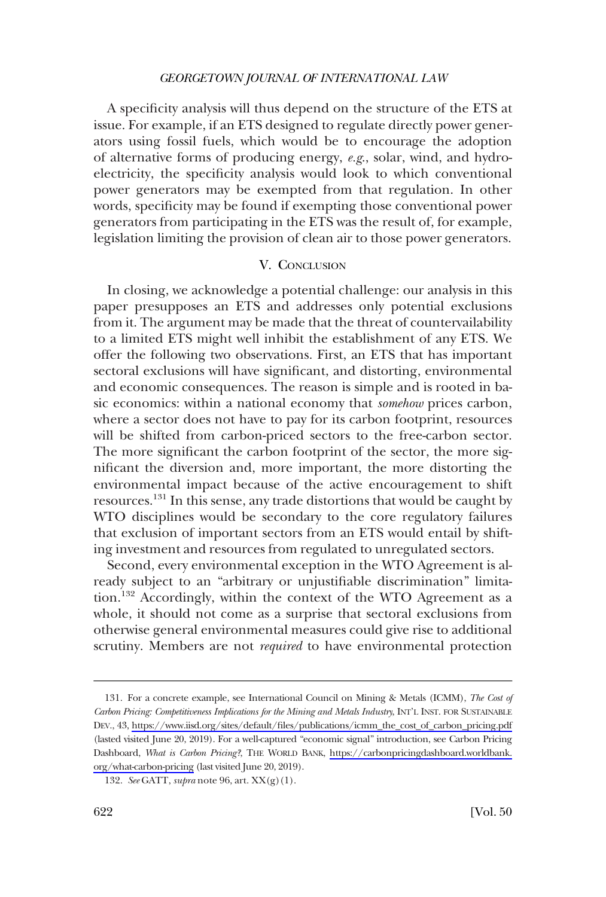<span id="page-23-0"></span>A specificity analysis will thus depend on the structure of the ETS at issue. For example, if an ETS designed to regulate directly power generators using fossil fuels, which would be to encourage the adoption of alternative forms of producing energy, *e.g*., solar, wind, and hydroelectricity, the specificity analysis would look to which conventional power generators may be exempted from that regulation. In other words, specificity may be found if exempting those conventional power generators from participating in the ETS was the result of, for example, legislation limiting the provision of clean air to those power generators.

# V. CONCLUSION

In closing, we acknowledge a potential challenge: our analysis in this paper presupposes an ETS and addresses only potential exclusions from it. The argument may be made that the threat of countervailability to a limited ETS might well inhibit the establishment of any ETS. We offer the following two observations. First, an ETS that has important sectoral exclusions will have significant, and distorting, environmental and economic consequences. The reason is simple and is rooted in basic economics: within a national economy that *somehow* prices carbon, where a sector does not have to pay for its carbon footprint, resources will be shifted from carbon-priced sectors to the free-carbon sector. The more significant the carbon footprint of the sector, the more significant the diversion and, more important, the more distorting the environmental impact because of the active encouragement to shift resources.<sup>131</sup> In this sense, any trade distortions that would be caught by WTO disciplines would be secondary to the core regulatory failures that exclusion of important sectors from an ETS would entail by shifting investment and resources from regulated to unregulated sectors.

Second, every environmental exception in the WTO Agreement is already subject to an "arbitrary or unjustifiable discrimination" limitation.<sup>132</sup> Accordingly, within the context of the WTO Agreement as a whole, it should not come as a surprise that sectoral exclusions from otherwise general environmental measures could give rise to additional scrutiny. Members are not *required* to have environmental protection

<sup>131.</sup> For a concrete example, see International Council on Mining & Metals (ICMM), *The Cost of Carbon Pricing: Competitiveness Implications for the Mining and Metals Industry*, INT'L INST. FOR SUSTAINABLE DEV., 43, [https://www.iisd.org/sites/default/files/publications/icmm\\_the\\_cost\\_of\\_carbon\\_pricing.pdf](https://www.iisd.org/sites/default/files/publications/icmm_the_cost_of_carbon_pricing.pdf)  (lasted visited June 20, 2019). For a well-captured "economic signal" introduction, see Carbon Pricing Dashboard, *What is Carbon Pricing?*, THE WORLD BANK, [https://carbonpricingdashboard.worldbank.](https://carbonpricingdashboard.worldbank.org/what-carbon-pricing)  [org/what-carbon-pricing](https://carbonpricingdashboard.worldbank.org/what-carbon-pricing) (last visited June 20, 2019).

<sup>132.</sup> *See* GATT, *supra* note 96, art. XX(g)(1).